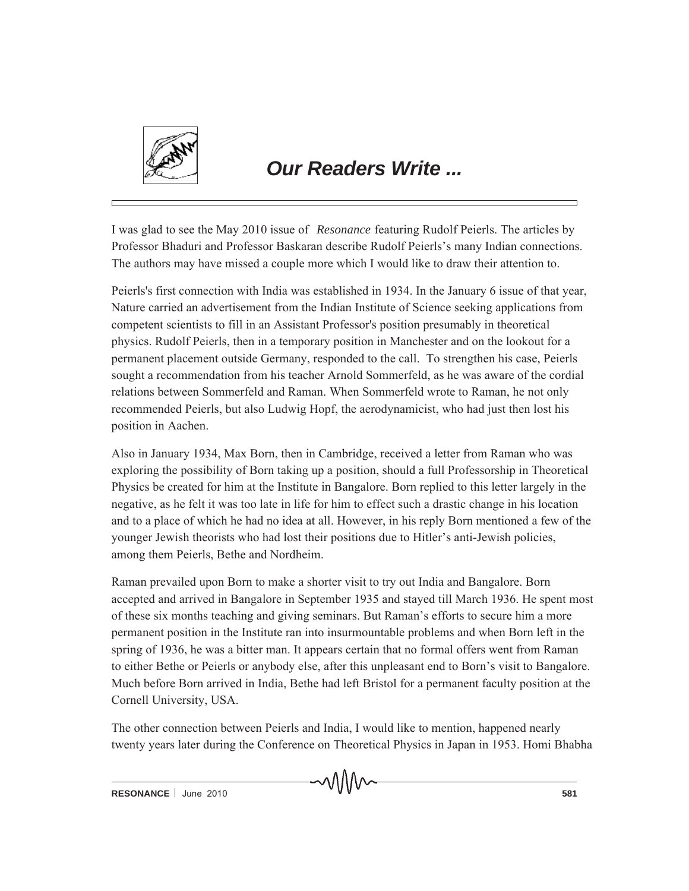

## *Our Readers Write ...*

I was glad to see the May 2010 issue of *Resonance* featuring Rudolf Peierls. The articles by Professor Bhaduri and Professor Baskaran describe Rudolf Peierls's many Indian connections. The authors may have missed a couple more which I would like to draw their attention to.

Peierls's first connection with India was established in 1934. In the January 6 issue of that year, Nature carried an advertisement from the Indian Institute of Science seeking applications from competent scientists to fill in an Assistant Professor's position presumably in theoretical physics. Rudolf Peierls, then in a temporary position in Manchester and on the lookout for a permanent placement outside Germany, responded to the call. To strengthen his case, Peierls sought a recommendation from his teacher Arnold Sommerfeld, as he was aware of the cordial relations between Sommerfeld and Raman. When Sommerfeld wrote to Raman, he not only recommended Peierls, but also Ludwig Hopf, the aerodynamicist, who had just then lost his position in Aachen.

Also in January 1934, Max Born, then in Cambridge, received a letter from Raman who was exploring the possibility of Born taking up a position, should a full Professorship in Theoretical Physics be created for him at the Institute in Bangalore. Born replied to this letter largely in the negative, as he felt it was too late in life for him to effect such a drastic change in his location and to a place of which he had no idea at all. However, in his reply Born mentioned a few of the younger Jewish theorists who had lost their positions due to Hitler's anti-Jewish policies, among them Peierls, Bethe and Nordheim.

Raman prevailed upon Born to make a shorter visit to try out India and Bangalore. Born accepted and arrived in Bangalore in September 1935 and stayed till March 1936. He spent most of these six months teaching and giving seminars. But Raman's efforts to secure him a more permanent position in the Institute ran into insurmountable problems and when Born left in the spring of 1936, he was a bitter man. It appears certain that no formal offers went from Raman to either Bethe or Peierls or anybody else, after this unpleasant end to Born's visit to Bangalore. Much before Born arrived in India, Bethe had left Bristol for a permanent faculty position at the Cornell University, USA.

The other connection between Peierls and India, I would like to mention, happened nearly twenty years later during the Conference on Theoretical Physics in Japan in 1953. Homi Bhabha